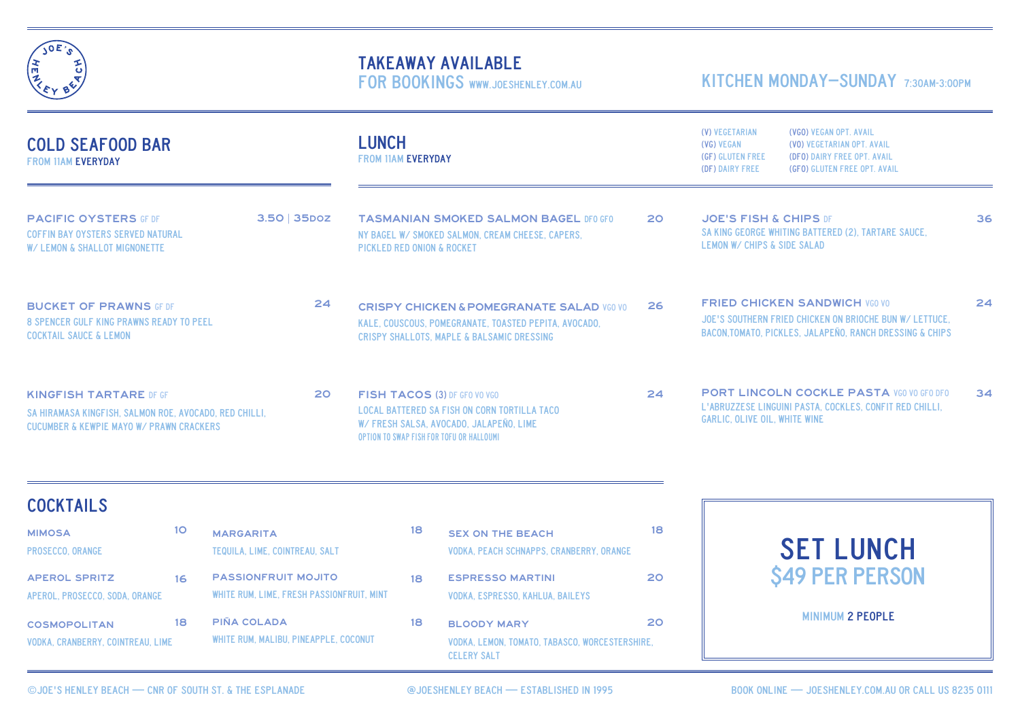

# TAKEAWAY AVAILABLE

FOR BOOKINGS WWW.JOESHENLEY.COM.AU

## KITCHEN MONDAY-SUNDAY 7:30AM-3:00PM

| <b>COLD SEAFOOD BAR</b><br><b>FROM 11AM EVERYDAY</b>                                                                                                 |                                                                         |                                                                                                                                                                                  |                                                                                                                                           | (V) VEGETARIAN<br>(VGO) VEGAN OPT. AVAIL<br>(VO) VEGETARIAN OPT. AVAIL<br>(VG) VEGAN<br>(GF) GLUTEN FREE<br>(DFO) DAIRY FREE OPT. AVAIL<br>(DF) DAIRY FREE<br>(GFO) GLUTEN FREE OPT. AVAIL |                                                                                                                                                                       |                        |
|------------------------------------------------------------------------------------------------------------------------------------------------------|-------------------------------------------------------------------------|----------------------------------------------------------------------------------------------------------------------------------------------------------------------------------|-------------------------------------------------------------------------------------------------------------------------------------------|--------------------------------------------------------------------------------------------------------------------------------------------------------------------------------------------|-----------------------------------------------------------------------------------------------------------------------------------------------------------------------|------------------------|
| <b>PACIFIC OYSTERS GF DF</b><br>$3.50$   35 $box$<br><b>COFFIN BAY OYSTERS SERVED NATURAL</b><br>W/ LEMON & SHALLOT MIGNONETTE                       |                                                                         |                                                                                                                                                                                  | <b>TASMANIAN SMOKED SALMON BAGEL DFO GFO</b><br>NY BAGEL W/ SMOKED SALMON, CREAM CHEESE, CAPERS.<br><b>PICKLED RED ONION &amp; ROCKET</b> |                                                                                                                                                                                            | <b>JOE'S FISH &amp; CHIPS DF</b><br>SA KING GEORGE WHITING BATTERED (2). TARTARE SAUCE.<br>LEMON W/ CHIPS & SIDE SALAD                                                | 36                     |
| 24<br><b>BUCKET OF PRAWNS GF DF</b><br><b>8 SPENCER GULF KING PRAWNS READY TO PEEL</b><br><b>COCKTAIL SAUCE &amp; LEMON</b>                          |                                                                         | <b>CRISPY CHICKEN &amp; POMEGRANATE SALAD VGO VO</b><br>KALE, COUSCOUS, POMEGRANATE, TOASTED PEPITA, AVOCADO,<br><b>CRISPY SHALLOTS, MAPLE &amp; BALSAMIC DRESSING</b>           |                                                                                                                                           | 26                                                                                                                                                                                         | <b>FRIED CHICKEN SANDWICH VGO VO</b><br>JOE'S SOUTHERN FRIED CHICKEN ON BRIOCHE BUN W/ LETTUCE.<br><b>BACON.TOMATO. PICKLES. JALAPEÑO. RANCH DRESSING &amp; CHIPS</b> | 24                     |
| <b>KINGFISH TARTARE DF GF</b><br>20<br>SA HIRAMASA KINGFISH, SALMON ROE, AVOCADO, RED CHILLI,<br><b>CUCUMBER &amp; KEWPIE MAYO W/ PRAWN CRACKERS</b> |                                                                         | <b>FISH TACOS (3) DF GFO VO VGO</b><br><b>LOCAL BATTERED SA FISH ON CORN TORTILLA TACO</b><br>W/FRESH SALSA, AVOCADO, JALAPEÑO, LIME<br>OPTION TO SWAP FISH FOR TOFU OR HALLOUMI |                                                                                                                                           | 24                                                                                                                                                                                         | <b>PORT LINCOLN COCKLE PASTA VGO VO GFO DFO</b><br>L'ABRUZZESE LINGUINI PASTA, COCKLES, CONFIT RED CHILLI.<br><b>GARLIC. OLIVE OIL. WHITE WINE</b>                    | 34                     |
|                                                                                                                                                      |                                                                         |                                                                                                                                                                                  |                                                                                                                                           |                                                                                                                                                                                            |                                                                                                                                                                       |                        |
| 10 <sup>°</sup>                                                                                                                                      | <b>MARGARITA</b><br>TEQUILA, LIME, COINTREAU, SALT                      | 18                                                                                                                                                                               | <b>SEX ON THE BEACH</b>                                                                                                                   | 18                                                                                                                                                                                         | <b>SET LUNCH</b>                                                                                                                                                      |                        |
| 16                                                                                                                                                   | <b>PASSIONFRUIT MOJITO</b><br>WHITE RUM, LIME, FRESH PASSIONFRUIT, MINT | 18                                                                                                                                                                               | <b>ESPRESSO MARTINI</b><br><b>VODKA, ESPRESSO, KAHLUA, BAILEYS</b>                                                                        | 20                                                                                                                                                                                         |                                                                                                                                                                       |                        |
| 18<br><b>VODKA, CRANBERRY, COINTREAU, LIME</b>                                                                                                       | <b>PIÑA COLADA</b><br>WHITE RUM, MALIBU, PINEAPPLE, COCONUT             | 18                                                                                                                                                                               | <b>BLOODY MARY</b><br>VODKA, LEMON, TOMATO, TABASCO, WORCESTERSHIRE,                                                                      | 20                                                                                                                                                                                         | <b>MINIMUM 2 PEOPLE</b>                                                                                                                                               |                        |
|                                                                                                                                                      |                                                                         |                                                                                                                                                                                  | <b>LUNCH</b>                                                                                                                              | <b>FROM 11AM EVERYDAY</b>                                                                                                                                                                  | 20<br><b>VODKA, PEACH SCHNAPPS, CRANBERRY, ORANGE</b>                                                                                                                 | <b>\$49 PER PERSON</b> |